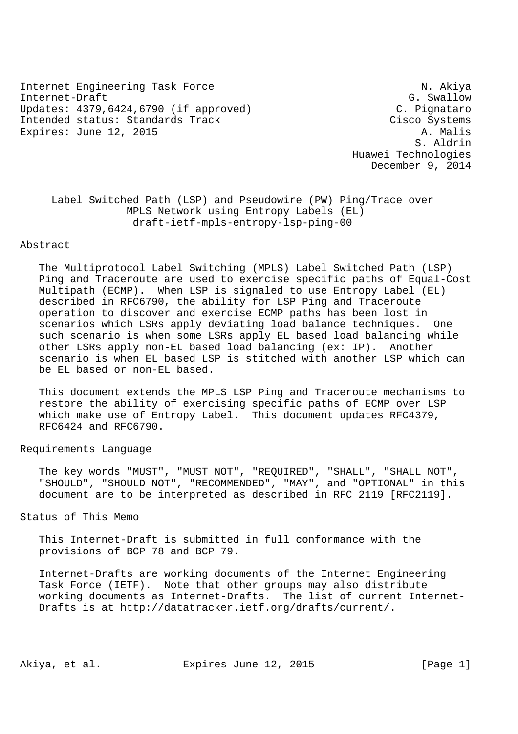Internet Engineering Task Force N. Akiya Internet-Draft G. Swallow G. Swallow Updates: 4379,6424,6790 (if approved) C. Pignataro Intended status: Standards Track Cisco Systems Expires: June 12, 2015 A. Malis

 S. Aldrin Huawei Technologies December 9, 2014

 Label Switched Path (LSP) and Pseudowire (PW) Ping/Trace over MPLS Network using Entropy Labels (EL) draft-ietf-mpls-entropy-lsp-ping-00

#### Abstract

 The Multiprotocol Label Switching (MPLS) Label Switched Path (LSP) Ping and Traceroute are used to exercise specific paths of Equal-Cost Multipath (ECMP). When LSP is signaled to use Entropy Label (EL) described in RFC6790, the ability for LSP Ping and Traceroute operation to discover and exercise ECMP paths has been lost in scenarios which LSRs apply deviating load balance techniques. One such scenario is when some LSRs apply EL based load balancing while other LSRs apply non-EL based load balancing (ex: IP). Another scenario is when EL based LSP is stitched with another LSP which can be EL based or non-EL based.

 This document extends the MPLS LSP Ping and Traceroute mechanisms to restore the ability of exercising specific paths of ECMP over LSP which make use of Entropy Label. This document updates RFC4379, RFC6424 and RFC6790.

Requirements Language

 The key words "MUST", "MUST NOT", "REQUIRED", "SHALL", "SHALL NOT", "SHOULD", "SHOULD NOT", "RECOMMENDED", "MAY", and "OPTIONAL" in this document are to be interpreted as described in RFC 2119 [RFC2119].

Status of This Memo

 This Internet-Draft is submitted in full conformance with the provisions of BCP 78 and BCP 79.

 Internet-Drafts are working documents of the Internet Engineering Task Force (IETF). Note that other groups may also distribute working documents as Internet-Drafts. The list of current Internet- Drafts is at http://datatracker.ietf.org/drafts/current/.

Akiya, et al. Expires June 12, 2015 [Page 1]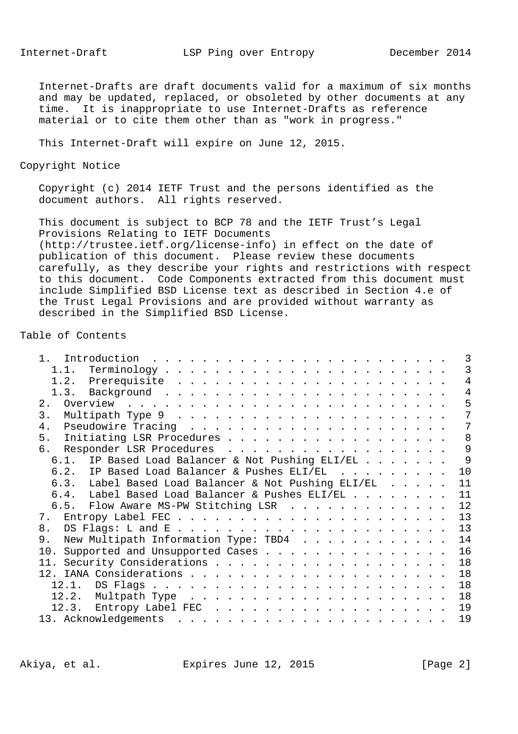Internet-Drafts are draft documents valid for a maximum of six months and may be updated, replaced, or obsoleted by other documents at any time. It is inappropriate to use Internet-Drafts as reference material or to cite them other than as "work in progress."

This Internet-Draft will expire on June 12, 2015.

Copyright Notice

 Copyright (c) 2014 IETF Trust and the persons identified as the document authors. All rights reserved.

 This document is subject to BCP 78 and the IETF Trust's Legal Provisions Relating to IETF Documents (http://trustee.ietf.org/license-info) in effect on the date of publication of this document. Please review these documents carefully, as they describe your rights and restrictions with respect to this document. Code Components extracted from this document must include Simplified BSD License text as described in Section 4.e of the Trust Legal Provisions and are provided without warranty as described in the Simplified BSD License.

# Table of Contents

|                                                     | 3              |
|-----------------------------------------------------|----------------|
|                                                     | 3              |
|                                                     | $\overline{4}$ |
|                                                     | 4              |
|                                                     | 5              |
| $\mathbf{3}$ .                                      | 7              |
| 4.                                                  | 7              |
| 5. Initiating LSR Procedures                        | 8              |
| 6. Responder LSR Procedures                         | 9              |
| 6.1. IP Based Load Balancer & Not Pushing ELI/EL    | 9              |
| 6.2. IP Based Load Balancer & Pushes ELI/EL         | 10             |
| 6.3. Label Based Load Balancer & Not Pushing ELI/EL | 11             |
| 6.4. Label Based Load Balancer & Pushes ELI/EL      | 11             |
| 6.5. Flow Aware MS-PW Stitching LSR                 | 12             |
|                                                     | 13             |
| 8.                                                  | 13             |
| New Multipath Information Type: TBD4<br>9.          | 14             |
| 10. Supported and Unsupported Cases                 | 16             |
|                                                     | 18             |
|                                                     | 18             |
|                                                     | 18             |
|                                                     | 18             |
|                                                     | 19             |
|                                                     | 19             |

Akiya, et al. Expires June 12, 2015 [Page 2]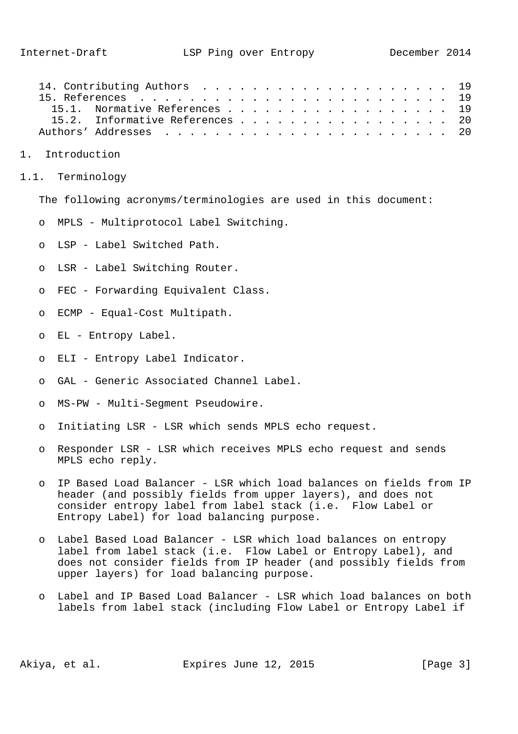| 15.1. Normative References 19   |  |  |  |  |  |  |  |  |
|---------------------------------|--|--|--|--|--|--|--|--|
| 15.2. Informative References 20 |  |  |  |  |  |  |  |  |
|                                 |  |  |  |  |  |  |  |  |

- 1. Introduction
- 1.1. Terminology

The following acronyms/terminologies are used in this document:

- o MPLS Multiprotocol Label Switching.
- o LSP Label Switched Path.
- o LSR Label Switching Router.
- o FEC Forwarding Equivalent Class.
- o ECMP Equal-Cost Multipath.
- o EL Entropy Label.
- o ELI Entropy Label Indicator.
- o GAL Generic Associated Channel Label.
- o MS-PW Multi-Segment Pseudowire.
- o Initiating LSR LSR which sends MPLS echo request.
- o Responder LSR LSR which receives MPLS echo request and sends MPLS echo reply.
- o IP Based Load Balancer LSR which load balances on fields from IP header (and possibly fields from upper layers), and does not consider entropy label from label stack (i.e. Flow Label or Entropy Label) for load balancing purpose.
- o Label Based Load Balancer LSR which load balances on entropy label from label stack (i.e. Flow Label or Entropy Label), and does not consider fields from IP header (and possibly fields from upper layers) for load balancing purpose.
- o Label and IP Based Load Balancer LSR which load balances on both labels from label stack (including Flow Label or Entropy Label if

Akiya, et al. Expires June 12, 2015 [Page 3]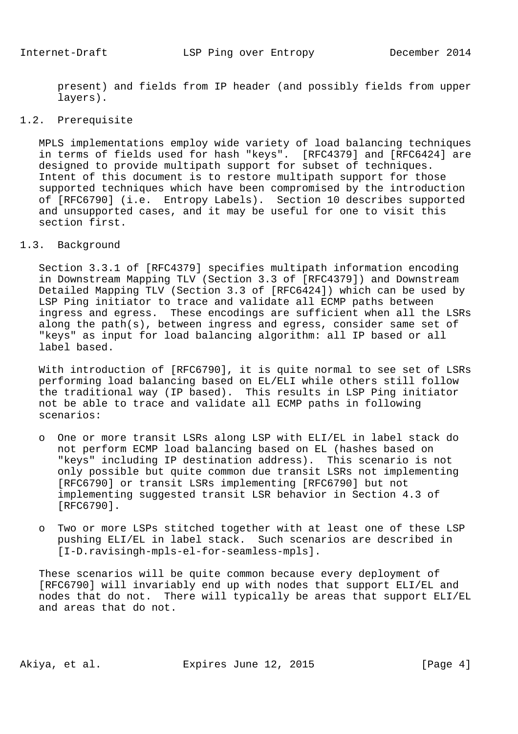present) and fields from IP header (and possibly fields from upper layers).

# 1.2. Prerequisite

 MPLS implementations employ wide variety of load balancing techniques in terms of fields used for hash "keys". [RFC4379] and [RFC6424] are designed to provide multipath support for subset of techniques. Intent of this document is to restore multipath support for those supported techniques which have been compromised by the introduction of [RFC6790] (i.e. Entropy Labels). Section 10 describes supported and unsupported cases, and it may be useful for one to visit this section first.

# 1.3. Background

 Section 3.3.1 of [RFC4379] specifies multipath information encoding in Downstream Mapping TLV (Section 3.3 of [RFC4379]) and Downstream Detailed Mapping TLV (Section 3.3 of [RFC6424]) which can be used by LSP Ping initiator to trace and validate all ECMP paths between ingress and egress. These encodings are sufficient when all the LSRs along the path(s), between ingress and egress, consider same set of "keys" as input for load balancing algorithm: all IP based or all label based.

 With introduction of [RFC6790], it is quite normal to see set of LSRs performing load balancing based on EL/ELI while others still follow the traditional way (IP based). This results in LSP Ping initiator not be able to trace and validate all ECMP paths in following scenarios:

- o One or more transit LSRs along LSP with ELI/EL in label stack do not perform ECMP load balancing based on EL (hashes based on "keys" including IP destination address). This scenario is not only possible but quite common due transit LSRs not implementing [RFC6790] or transit LSRs implementing [RFC6790] but not implementing suggested transit LSR behavior in Section 4.3 of [RFC6790].
- o Two or more LSPs stitched together with at least one of these LSP pushing ELI/EL in label stack. Such scenarios are described in [I-D.ravisingh-mpls-el-for-seamless-mpls].

 These scenarios will be quite common because every deployment of [RFC6790] will invariably end up with nodes that support ELI/EL and nodes that do not. There will typically be areas that support ELI/EL and areas that do not.

Akiya, et al. Expires June 12, 2015 [Page 4]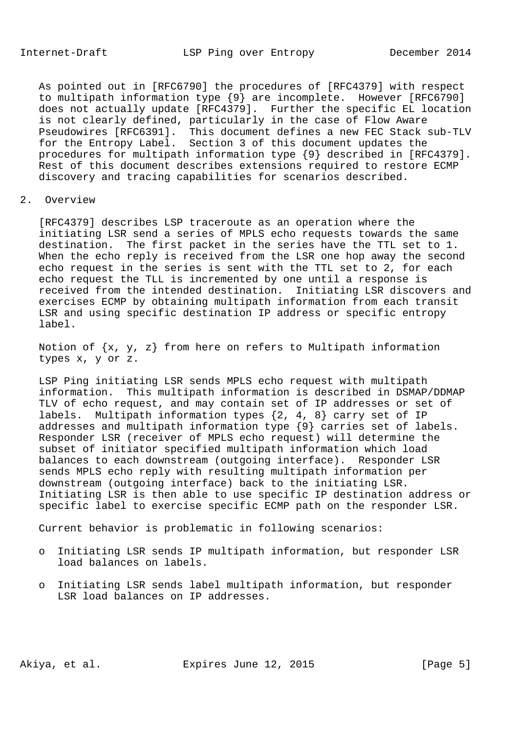As pointed out in [RFC6790] the procedures of [RFC4379] with respect to multipath information type {9} are incomplete. However [RFC6790] does not actually update [RFC4379]. Further the specific EL location is not clearly defined, particularly in the case of Flow Aware Pseudowires [RFC6391]. This document defines a new FEC Stack sub-TLV for the Entropy Label. Section 3 of this document updates the procedures for multipath information type {9} described in [RFC4379]. Rest of this document describes extensions required to restore ECMP discovery and tracing capabilities for scenarios described.

# 2. Overview

 [RFC4379] describes LSP traceroute as an operation where the initiating LSR send a series of MPLS echo requests towards the same destination. The first packet in the series have the TTL set to 1. When the echo reply is received from the LSR one hop away the second echo request in the series is sent with the TTL set to 2, for each echo request the TLL is incremented by one until a response is received from the intended destination. Initiating LSR discovers and exercises ECMP by obtaining multipath information from each transit LSR and using specific destination IP address or specific entropy label.

Notion of  $\{x, y, z\}$  from here on refers to Multipath information types x, y or z.

 LSP Ping initiating LSR sends MPLS echo request with multipath information. This multipath information is described in DSMAP/DDMAP TLV of echo request, and may contain set of IP addresses or set of labels. Multipath information types {2, 4, 8} carry set of IP addresses and multipath information type {9} carries set of labels. Responder LSR (receiver of MPLS echo request) will determine the subset of initiator specified multipath information which load balances to each downstream (outgoing interface). Responder LSR sends MPLS echo reply with resulting multipath information per downstream (outgoing interface) back to the initiating LSR. Initiating LSR is then able to use specific IP destination address or specific label to exercise specific ECMP path on the responder LSR.

Current behavior is problematic in following scenarios:

- o Initiating LSR sends IP multipath information, but responder LSR load balances on labels.
- o Initiating LSR sends label multipath information, but responder LSR load balances on IP addresses.

Akiya, et al. Expires June 12, 2015 [Page 5]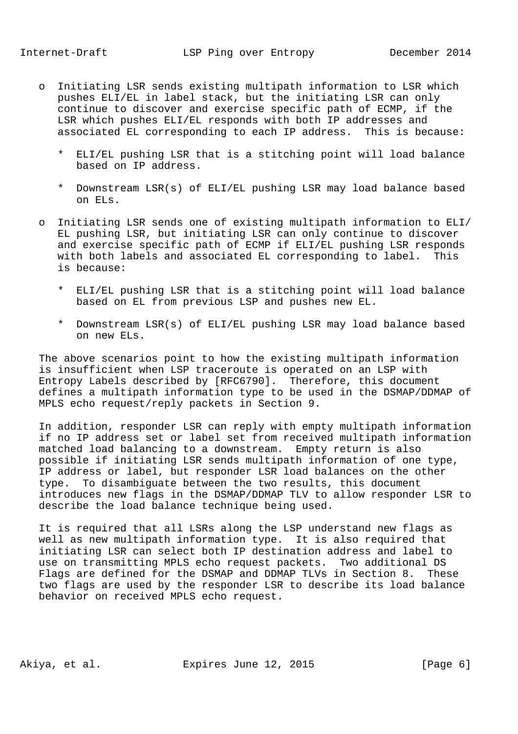- o Initiating LSR sends existing multipath information to LSR which pushes ELI/EL in label stack, but the initiating LSR can only continue to discover and exercise specific path of ECMP, if the LSR which pushes ELI/EL responds with both IP addresses and associated EL corresponding to each IP address. This is because:
	- \* ELI/EL pushing LSR that is a stitching point will load balance based on IP address.
	- \* Downstream LSR(s) of ELI/EL pushing LSR may load balance based on ELs.
- o Initiating LSR sends one of existing multipath information to ELI/ EL pushing LSR, but initiating LSR can only continue to discover and exercise specific path of ECMP if ELI/EL pushing LSR responds with both labels and associated EL corresponding to label. This is because:
	- \* ELI/EL pushing LSR that is a stitching point will load balance based on EL from previous LSP and pushes new EL.
	- \* Downstream LSR(s) of ELI/EL pushing LSR may load balance based on new ELs.

 The above scenarios point to how the existing multipath information is insufficient when LSP traceroute is operated on an LSP with Entropy Labels described by [RFC6790]. Therefore, this document defines a multipath information type to be used in the DSMAP/DDMAP of MPLS echo request/reply packets in Section 9.

 In addition, responder LSR can reply with empty multipath information if no IP address set or label set from received multipath information matched load balancing to a downstream. Empty return is also possible if initiating LSR sends multipath information of one type, IP address or label, but responder LSR load balances on the other type. To disambiguate between the two results, this document introduces new flags in the DSMAP/DDMAP TLV to allow responder LSR to describe the load balance technique being used.

 It is required that all LSRs along the LSP understand new flags as well as new multipath information type. It is also required that initiating LSR can select both IP destination address and label to use on transmitting MPLS echo request packets. Two additional DS Flags are defined for the DSMAP and DDMAP TLVs in Section 8. These two flags are used by the responder LSR to describe its load balance behavior on received MPLS echo request.

Akiya, et al. Expires June 12, 2015 [Page 6]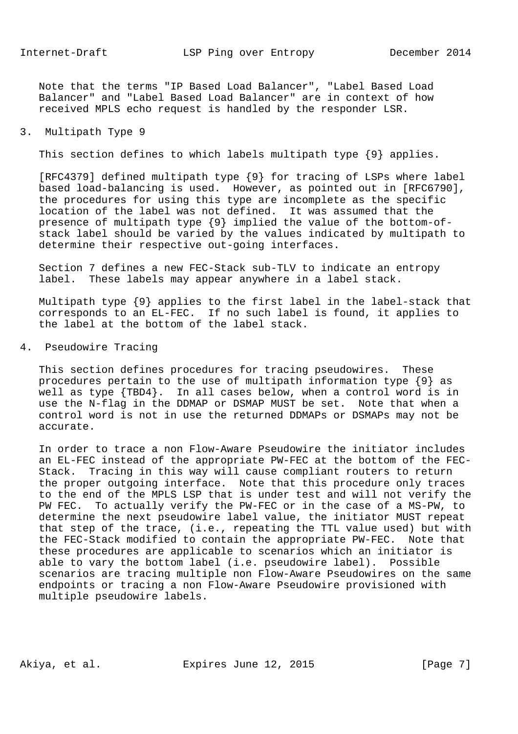Note that the terms "IP Based Load Balancer", "Label Based Load Balancer" and "Label Based Load Balancer" are in context of how received MPLS echo request is handled by the responder LSR.

### 3. Multipath Type 9

This section defines to which labels multipath type {9} applies.

 [RFC4379] defined multipath type {9} for tracing of LSPs where label based load-balancing is used. However, as pointed out in [RFC6790], the procedures for using this type are incomplete as the specific location of the label was not defined. It was assumed that the presence of multipath type {9} implied the value of the bottom-of stack label should be varied by the values indicated by multipath to determine their respective out-going interfaces.

 Section 7 defines a new FEC-Stack sub-TLV to indicate an entropy label. These labels may appear anywhere in a label stack.

 Multipath type {9} applies to the first label in the label-stack that corresponds to an EL-FEC. If no such label is found, it applies to the label at the bottom of the label stack.

## 4. Pseudowire Tracing

 This section defines procedures for tracing pseudowires. These procedures pertain to the use of multipath information type {9} as well as type {TBD4}. In all cases below, when a control word is in use the N-flag in the DDMAP or DSMAP MUST be set. Note that when a control word is not in use the returned DDMAPs or DSMAPs may not be accurate.

 In order to trace a non Flow-Aware Pseudowire the initiator includes an EL-FEC instead of the appropriate PW-FEC at the bottom of the FEC- Stack. Tracing in this way will cause compliant routers to return the proper outgoing interface. Note that this procedure only traces to the end of the MPLS LSP that is under test and will not verify the PW FEC. To actually verify the PW-FEC or in the case of a MS-PW, to determine the next pseudowire label value, the initiator MUST repeat that step of the trace, (i.e., repeating the TTL value used) but with the FEC-Stack modified to contain the appropriate PW-FEC. Note that these procedures are applicable to scenarios which an initiator is able to vary the bottom label (i.e. pseudowire label). Possible scenarios are tracing multiple non Flow-Aware Pseudowires on the same endpoints or tracing a non Flow-Aware Pseudowire provisioned with multiple pseudowire labels.

Akiya, et al. Expires June 12, 2015 [Page 7]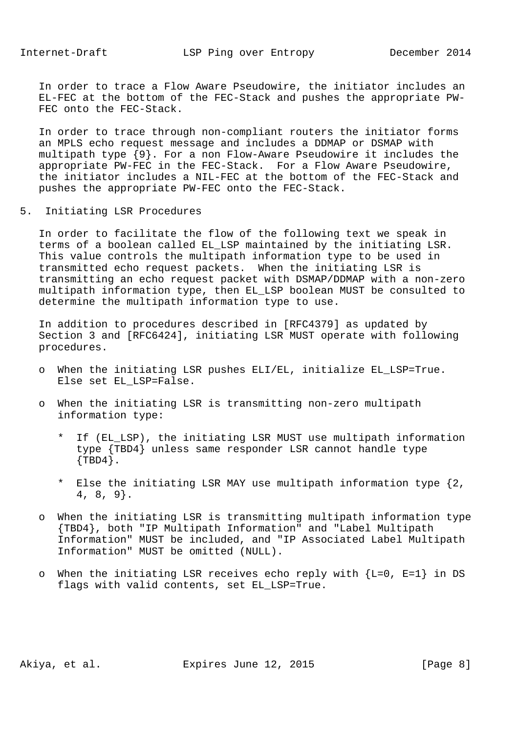In order to trace a Flow Aware Pseudowire, the initiator includes an EL-FEC at the bottom of the FEC-Stack and pushes the appropriate PW- FEC onto the FEC-Stack.

 In order to trace through non-compliant routers the initiator forms an MPLS echo request message and includes a DDMAP or DSMAP with multipath type {9}. For a non Flow-Aware Pseudowire it includes the appropriate PW-FEC in the FEC-Stack. For a Flow Aware Pseudowire, the initiator includes a NIL-FEC at the bottom of the FEC-Stack and pushes the appropriate PW-FEC onto the FEC-Stack.

5. Initiating LSR Procedures

 In order to facilitate the flow of the following text we speak in terms of a boolean called EL\_LSP maintained by the initiating LSR. This value controls the multipath information type to be used in transmitted echo request packets. When the initiating LSR is transmitting an echo request packet with DSMAP/DDMAP with a non-zero multipath information type, then EL\_LSP boolean MUST be consulted to determine the multipath information type to use.

 In addition to procedures described in [RFC4379] as updated by Section 3 and [RFC6424], initiating LSR MUST operate with following procedures.

- o When the initiating LSR pushes ELI/EL, initialize EL\_LSP=True. Else set EL\_LSP=False.
- o When the initiating LSR is transmitting non-zero multipath information type:
	- \* If (EL\_LSP), the initiating LSR MUST use multipath information type {TBD4} unless same responder LSR cannot handle type  $\{TBD4\}$ .
	- \* Else the initiating LSR MAY use multipath information type {2, 4, 8, 9}.
- o When the initiating LSR is transmitting multipath information type {TBD4}, both "IP Multipath Information" and "Label Multipath Information" MUST be included, and "IP Associated Label Multipath Information" MUST be omitted (NULL).
- o When the initiating LSR receives echo reply with  ${L=0, E=1}$  in DS flags with valid contents, set EL\_LSP=True.

Akiya, et al. Expires June 12, 2015 [Page 8]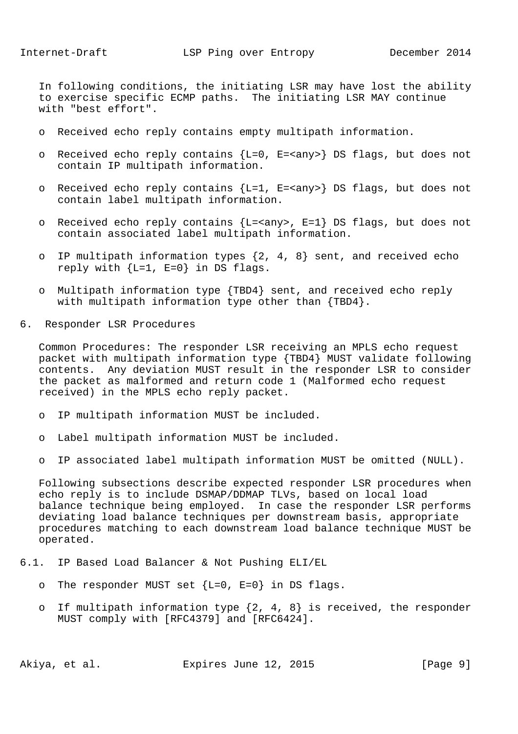In following conditions, the initiating LSR may have lost the ability to exercise specific ECMP paths. The initiating LSR MAY continue with "best effort".

- o Received echo reply contains empty multipath information.
- o Received echo reply contains {L=0, E=<any>} DS flags, but does not contain IP multipath information.
- o Received echo reply contains {L=1, E=<any>} DS flags, but does not contain label multipath information.
- o Received echo reply contains  ${L = *any* > , E = 1}$  DS flags, but does not contain associated label multipath information.
- o IP multipath information types {2, 4, 8} sent, and received echo reply with  ${L=1, E=0}$  in DS flags.
- o Multipath information type {TBD4} sent, and received echo reply with multipath information type other than {TBD4}.
- 6. Responder LSR Procedures

 Common Procedures: The responder LSR receiving an MPLS echo request packet with multipath information type {TBD4} MUST validate following contents. Any deviation MUST result in the responder LSR to consider the packet as malformed and return code 1 (Malformed echo request received) in the MPLS echo reply packet.

- o IP multipath information MUST be included.
- o Label multipath information MUST be included.
- o IP associated label multipath information MUST be omitted (NULL).

 Following subsections describe expected responder LSR procedures when echo reply is to include DSMAP/DDMAP TLVs, based on local load balance technique being employed. In case the responder LSR performs deviating load balance techniques per downstream basis, appropriate procedures matching to each downstream load balance technique MUST be operated.

- 6.1. IP Based Load Balancer & Not Pushing ELI/EL
	- o The responder MUST set  ${L=0, E=0}$  in DS flags.
	- o If multipath information type  $\{2, 4, 8\}$  is received, the responder MUST comply with [RFC4379] and [RFC6424].

Akiya, et al. Expires June 12, 2015 [Page 9]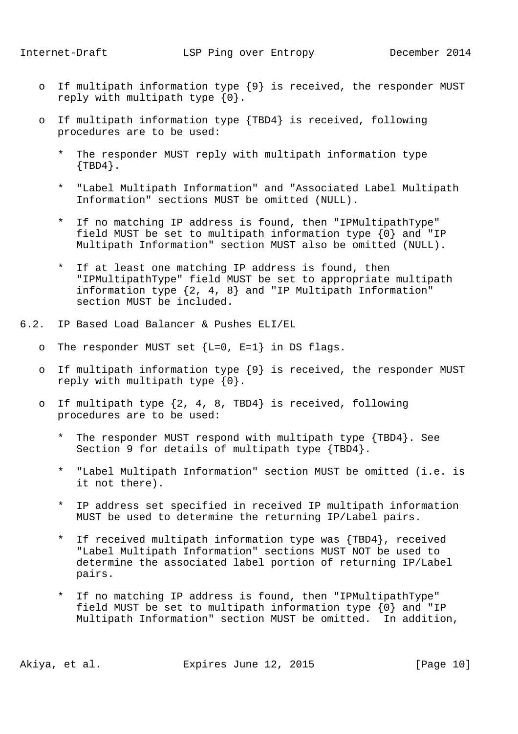- o If multipath information type {9} is received, the responder MUST reply with multipath type {0}.
- o If multipath information type {TBD4} is received, following procedures are to be used:
	- The responder MUST reply with multipath information type  $\{TBD4\}$ .
	- \* "Label Multipath Information" and "Associated Label Multipath Information" sections MUST be omitted (NULL).
	- \* If no matching IP address is found, then "IPMultipathType" field MUST be set to multipath information type {0} and "IP Multipath Information" section MUST also be omitted (NULL).
	- \* If at least one matching IP address is found, then "IPMultipathType" field MUST be set to appropriate multipath information type {2, 4, 8} and "IP Multipath Information" section MUST be included.
- 6.2. IP Based Load Balancer & Pushes ELI/EL
	- o The responder MUST set  ${L=0, E=1}$  in DS flags.
	- o If multipath information type {9} is received, the responder MUST reply with multipath type {0}.
	- o If multipath type {2, 4, 8, TBD4} is received, following procedures are to be used:
		- \* The responder MUST respond with multipath type {TBD4}. See Section 9 for details of multipath type {TBD4}.
		- \* "Label Multipath Information" section MUST be omitted (i.e. is it not there).
		- \* IP address set specified in received IP multipath information MUST be used to determine the returning IP/Label pairs.
		- \* If received multipath information type was {TBD4}, received "Label Multipath Information" sections MUST NOT be used to determine the associated label portion of returning IP/Label pairs.
		- \* If no matching IP address is found, then "IPMultipathType" field MUST be set to multipath information type {0} and "IP Multipath Information" section MUST be omitted. In addition,

Akiya, et al. Expires June 12, 2015 [Page 10]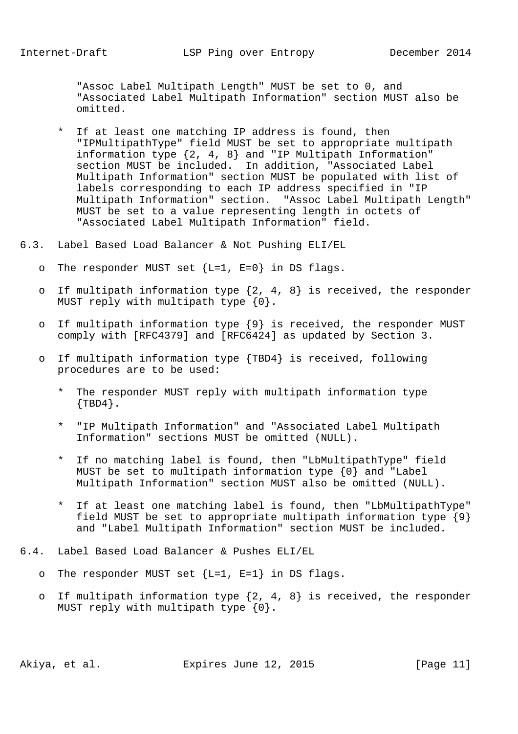"Assoc Label Multipath Length" MUST be set to 0, and "Associated Label Multipath Information" section MUST also be omitted.

- \* If at least one matching IP address is found, then "IPMultipathType" field MUST be set to appropriate multipath information type {2, 4, 8} and "IP Multipath Information" section MUST be included. In addition, "Associated Label Multipath Information" section MUST be populated with list of labels corresponding to each IP address specified in "IP Multipath Information" section. "Assoc Label Multipath Length" MUST be set to a value representing length in octets of "Associated Label Multipath Information" field.
- 6.3. Label Based Load Balancer & Not Pushing ELI/EL
	- o The responder MUST set  ${L=1, E=0}$  in DS flags.
	- o If multipath information type  $\{2, 4, 8\}$  is received, the responder MUST reply with multipath type  $\{0\}$ .
	- o If multipath information type {9} is received, the responder MUST comply with [RFC4379] and [RFC6424] as updated by Section 3.
	- o If multipath information type {TBD4} is received, following procedures are to be used:
		- \* The responder MUST reply with multipath information type  $\{TBD4\}$ .
		- \* "IP Multipath Information" and "Associated Label Multipath Information" sections MUST be omitted (NULL).
		- \* If no matching label is found, then "LbMultipathType" field MUST be set to multipath information type {0} and "Label Multipath Information" section MUST also be omitted (NULL).
		- \* If at least one matching label is found, then "LbMultipathType" field MUST be set to appropriate multipath information type  $\{9\}$ and "Label Multipath Information" section MUST be included.
- 6.4. Label Based Load Balancer & Pushes ELI/EL
	- o The responder MUST set  ${L=1, E=1}$  in DS flags.
	- o If multipath information type  $\{2, 4, 8\}$  is received, the responder MUST reply with multipath type  $\{0\}$ .

Akiya, et al. Expires June 12, 2015 [Page 11]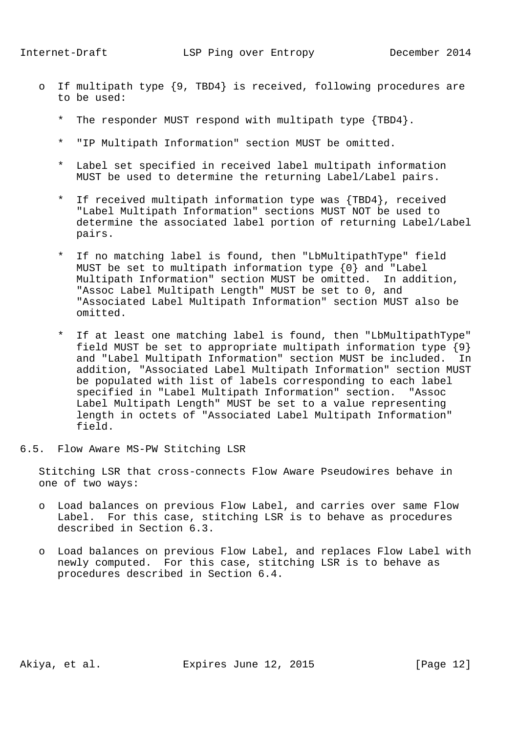- o If multipath type {9, TBD4} is received, following procedures are to be used:
	- The responder MUST respond with multipath type  ${TPD4}$ .
	- \* "IP Multipath Information" section MUST be omitted.
	- \* Label set specified in received label multipath information MUST be used to determine the returning Label/Label pairs.
	- \* If received multipath information type was {TBD4}, received "Label Multipath Information" sections MUST NOT be used to determine the associated label portion of returning Label/Label pairs.
	- \* If no matching label is found, then "LbMultipathType" field MUST be set to multipath information type {0} and "Label Multipath Information" section MUST be omitted. In addition, "Assoc Label Multipath Length" MUST be set to 0, and "Associated Label Multipath Information" section MUST also be omitted.
	- \* If at least one matching label is found, then "LbMultipathType" field MUST be set to appropriate multipath information type  $\{9\}$  and "Label Multipath Information" section MUST be included. In addition, "Associated Label Multipath Information" section MUST be populated with list of labels corresponding to each label specified in "Label Multipath Information" section. "Assoc Label Multipath Length" MUST be set to a value representing length in octets of "Associated Label Multipath Information" field.
- 6.5. Flow Aware MS-PW Stitching LSR

 Stitching LSR that cross-connects Flow Aware Pseudowires behave in one of two ways:

- o Load balances on previous Flow Label, and carries over same Flow Label. For this case, stitching LSR is to behave as procedures described in Section 6.3.
- o Load balances on previous Flow Label, and replaces Flow Label with newly computed. For this case, stitching LSR is to behave as procedures described in Section 6.4.

Akiya, et al. Expires June 12, 2015 [Page 12]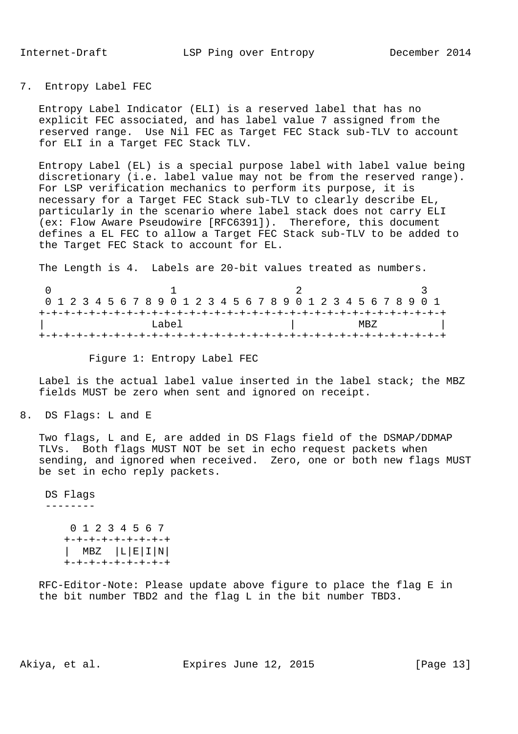## 7. Entropy Label FEC

 Entropy Label Indicator (ELI) is a reserved label that has no explicit FEC associated, and has label value 7 assigned from the reserved range. Use Nil FEC as Target FEC Stack sub-TLV to account for ELI in a Target FEC Stack TLV.

 Entropy Label (EL) is a special purpose label with label value being discretionary (i.e. label value may not be from the reserved range). For LSP verification mechanics to perform its purpose, it is necessary for a Target FEC Stack sub-TLV to clearly describe EL, particularly in the scenario where label stack does not carry ELI (ex: Flow Aware Pseudowire [RFC6391]). Therefore, this document defines a EL FEC to allow a Target FEC Stack sub-TLV to be added to the Target FEC Stack to account for EL.

The Length is 4. Labels are 20-bit values treated as numbers.

|       |  |  |  |  |  |  |  |  | 0 1 2 3 4 5 6 7 8 9 0 1 2 3 4 5 6 7 8 9 0 1 2 3 4 5 6 7 8 9 0 1 |      |  |  |  |  |  |  |  |  |  |  |  |  |  |  |  |  |
|-------|--|--|--|--|--|--|--|--|-----------------------------------------------------------------|------|--|--|--|--|--|--|--|--|--|--|--|--|--|--|--|--|
|       |  |  |  |  |  |  |  |  |                                                                 |      |  |  |  |  |  |  |  |  |  |  |  |  |  |  |  |  |
| Tabel |  |  |  |  |  |  |  |  |                                                                 | MBZ. |  |  |  |  |  |  |  |  |  |  |  |  |  |  |  |  |
|       |  |  |  |  |  |  |  |  |                                                                 |      |  |  |  |  |  |  |  |  |  |  |  |  |  |  |  |  |

Figure 1: Entropy Label FEC

 Label is the actual label value inserted in the label stack; the MBZ fields MUST be zero when sent and ignored on receipt.

8. DS Flags: L and E

 Two flags, L and E, are added in DS Flags field of the DSMAP/DDMAP TLVs. Both flags MUST NOT be set in echo request packets when sending, and ignored when received. Zero, one or both new flags MUST be set in echo reply packets.

 DS Flags -------- 0 1 2 3 4 5 6 7 +-+-+-+-+-+-+-+-+ | MBZ |L|E|I|N| +-+-+-+-+-+-+-+-+

 RFC-Editor-Note: Please update above figure to place the flag E in the bit number TBD2 and the flag L in the bit number TBD3.

Akiya, et al. Expires June 12, 2015 [Page 13]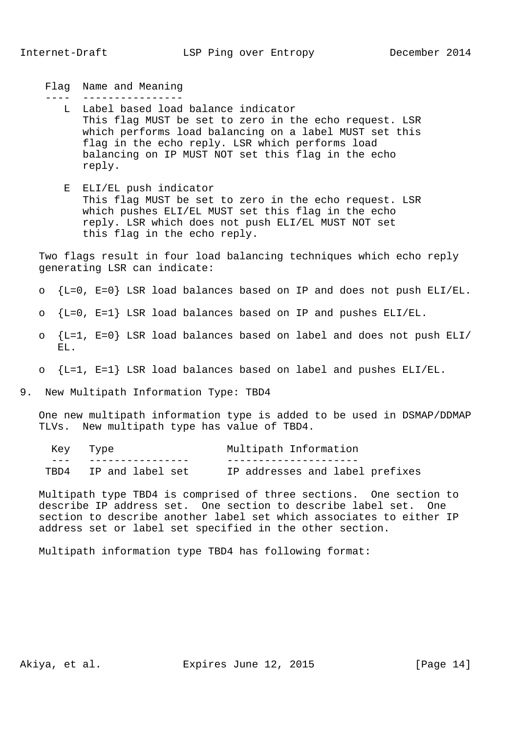Flag Name and Meaning

---- ----------------

- L Label based load balance indicator This flag MUST be set to zero in the echo request. LSR which performs load balancing on a label MUST set this flag in the echo reply. LSR which performs load balancing on IP MUST NOT set this flag in the echo reply.
- E ELI/EL push indicator This flag MUST be set to zero in the echo request. LSR which pushes ELI/EL MUST set this flag in the echo reply. LSR which does not push ELI/EL MUST NOT set this flag in the echo reply.

 Two flags result in four load balancing techniques which echo reply generating LSR can indicate:

- o {L=0, E=0} LSR load balances based on IP and does not push ELI/EL.
- $O\{L=0$ , E=1} LSR load balances based on IP and pushes ELI/EL.
- o {L=1, E=0} LSR load balances based on label and does not push ELI/ EL.
- o {L=1, E=1} LSR load balances based on label and pushes ELI/EL.

#### 9. New Multipath Information Type: TBD4

 One new multipath information type is added to be used in DSMAP/DDMAP TLVs. New multipath type has value of TBD4.

| Key Type |                       | Multipath Information           |  |  |  |  |  |  |  |  |  |
|----------|-----------------------|---------------------------------|--|--|--|--|--|--|--|--|--|
|          |                       |                                 |  |  |  |  |  |  |  |  |  |
|          | TBD4 IP and label set | IP addresses and label prefixes |  |  |  |  |  |  |  |  |  |

 Multipath type TBD4 is comprised of three sections. One section to describe IP address set. One section to describe label set. One section to describe another label set which associates to either IP address set or label set specified in the other section.

Multipath information type TBD4 has following format:

Akiya, et al. Expires June 12, 2015 [Page 14]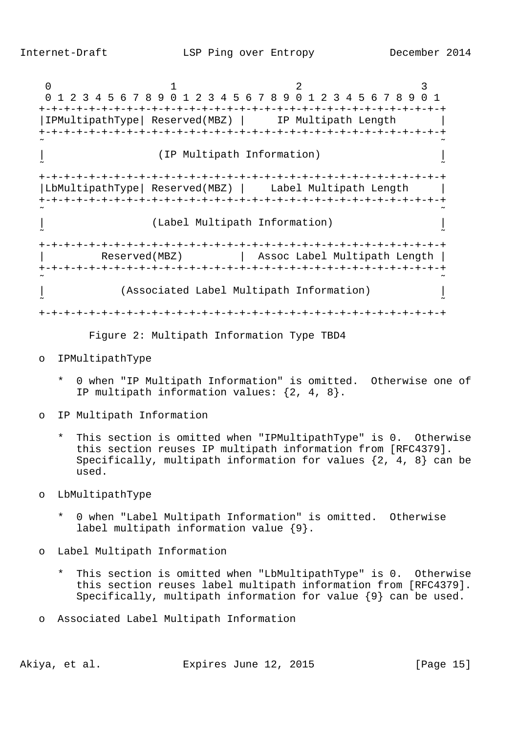$0$  1 2 3 0 1 2 3 4 5 6 7 8 9 0 1 2 3 4 5 6 7 8 9 0 1 2 3 4 5 6 7 8 9 0 1 +-+-+-+-+-+-+-+-+-+-+-+-+-+-+-+-+-+-+-+-+-+-+-+-+-+-+-+-+-+-+-+-+ |IPMultipathType| Reserved(MBZ) | IP Multipath Length | +-+-+-+-+-+-+-+-+-+-+-+-+-+-+-+-+-+-+-+-+-+-+-+-+-+-+-+-+-+-+-+-+ ˜ ˜ | (IP Multipath Information) |  $\sim$   $\sim$   $\sim$  +-+-+-+-+-+-+-+-+-+-+-+-+-+-+-+-+-+-+-+-+-+-+-+-+-+-+-+-+-+-+-+-+ |LbMultipathType| Reserved(MBZ) | Label Multipath Length | +-+-+-+-+-+-+-+-+-+-+-+-+-+-+-+-+-+-+-+-+-+-+-+-+-+-+-+-+-+-+-+-+ ˜ ˜ | (Label Multipath Information) | ˜ ˜ +-+-+-+-+-+-+-+-+-+-+-+-+-+-+-+-+-+-+-+-+-+-+-+-+-+-+-+-+-+-+-+-+ Reserved(MBZ) | Assoc Label Multipath Length | +-+-+-+-+-+-+-+-+-+-+-+-+-+-+-+-+-+-+-+-+-+-+-+-+-+-+-+-+-+-+-+-+ ˜ ˜ | (Associated Label Multipath Information) | ˜ ˜ +-+-+-+-+-+-+-+-+-+-+-+-+-+-+-+-+-+-+-+-+-+-+-+-+-+-+-+-+-+-+-+-+

Figure 2: Multipath Information Type TBD4

- o IPMultipathType
	- 0 when "IP Multipath Information" is omitted. Otherwise one of IP multipath information values: {2, 4, 8}.
- o IP Multipath Information
	- \* This section is omitted when "IPMultipathType" is 0. Otherwise this section reuses IP multipath information from [RFC4379]. Specifically, multipath information for values  $\{2, 4, 8\}$  can be used.
- o LbMultipathType
	- 0 when "Label Multipath Information" is omitted. Otherwise label multipath information value {9}.
- o Label Multipath Information
	- \* This section is omitted when "LbMultipathType" is 0. Otherwise this section reuses label multipath information from [RFC4379]. Specifically, multipath information for value {9} can be used.
- o Associated Label Multipath Information

Akiya, et al. Expires June 12, 2015 [Page 15]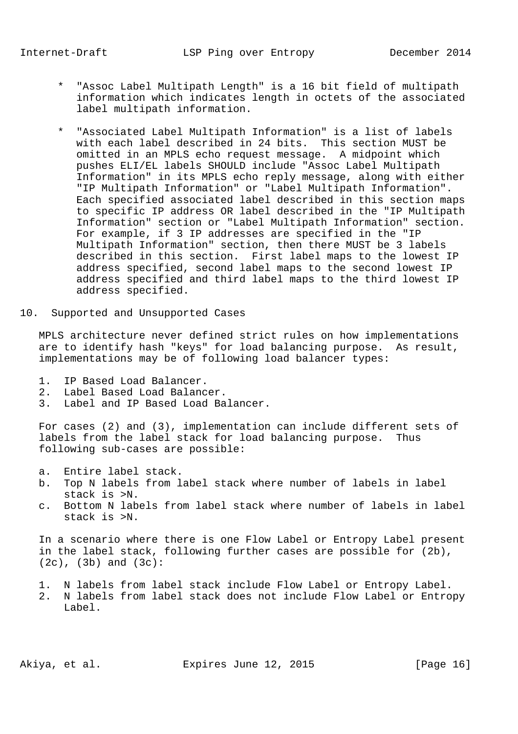- \* "Assoc Label Multipath Length" is a 16 bit field of multipath information which indicates length in octets of the associated label multipath information.
- \* "Associated Label Multipath Information" is a list of labels with each label described in 24 bits. This section MUST be omitted in an MPLS echo request message. A midpoint which pushes ELI/EL labels SHOULD include "Assoc Label Multipath Information" in its MPLS echo reply message, along with either "IP Multipath Information" or "Label Multipath Information". Each specified associated label described in this section maps to specific IP address OR label described in the "IP Multipath Information" section or "Label Multipath Information" section. For example, if 3 IP addresses are specified in the "IP Multipath Information" section, then there MUST be 3 labels described in this section. First label maps to the lowest IP address specified, second label maps to the second lowest IP address specified and third label maps to the third lowest IP address specified.
- 10. Supported and Unsupported Cases

 MPLS architecture never defined strict rules on how implementations are to identify hash "keys" for load balancing purpose. As result, implementations may be of following load balancer types:

- 1. IP Based Load Balancer.
- 2. Label Based Load Balancer.
- 3. Label and IP Based Load Balancer.

 For cases (2) and (3), implementation can include different sets of labels from the label stack for load balancing purpose. Thus following sub-cases are possible:

- a. Entire label stack.
- b. Top N labels from label stack where number of labels in label stack is >N.
- c. Bottom N labels from label stack where number of labels in label stack is >N.

 In a scenario where there is one Flow Label or Entropy Label present in the label stack, following further cases are possible for (2b), (2c), (3b) and (3c):

- 1. N labels from label stack include Flow Label or Entropy Label.
- 2. N labels from label stack does not include Flow Label or Entropy Label.

Akiya, et al. Expires June 12, 2015 [Page 16]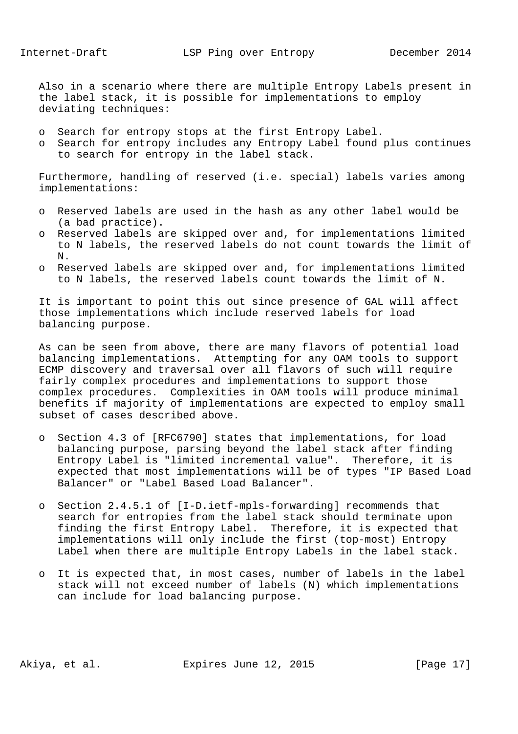Also in a scenario where there are multiple Entropy Labels present in the label stack, it is possible for implementations to employ deviating techniques:

- o Search for entropy stops at the first Entropy Label.
- o Search for entropy includes any Entropy Label found plus continues to search for entropy in the label stack.

 Furthermore, handling of reserved (i.e. special) labels varies among implementations:

- o Reserved labels are used in the hash as any other label would be (a bad practice).
- o Reserved labels are skipped over and, for implementations limited to N labels, the reserved labels do not count towards the limit of N.
- o Reserved labels are skipped over and, for implementations limited to N labels, the reserved labels count towards the limit of N.

 It is important to point this out since presence of GAL will affect those implementations which include reserved labels for load balancing purpose.

 As can be seen from above, there are many flavors of potential load balancing implementations. Attempting for any OAM tools to support ECMP discovery and traversal over all flavors of such will require fairly complex procedures and implementations to support those complex procedures. Complexities in OAM tools will produce minimal benefits if majority of implementations are expected to employ small subset of cases described above.

- o Section 4.3 of [RFC6790] states that implementations, for load balancing purpose, parsing beyond the label stack after finding Entropy Label is "limited incremental value". Therefore, it is expected that most implementations will be of types "IP Based Load Balancer" or "Label Based Load Balancer".
- o Section 2.4.5.1 of [I-D.ietf-mpls-forwarding] recommends that search for entropies from the label stack should terminate upon finding the first Entropy Label. Therefore, it is expected that implementations will only include the first (top-most) Entropy Label when there are multiple Entropy Labels in the label stack.
- o It is expected that, in most cases, number of labels in the label stack will not exceed number of labels (N) which implementations can include for load balancing purpose.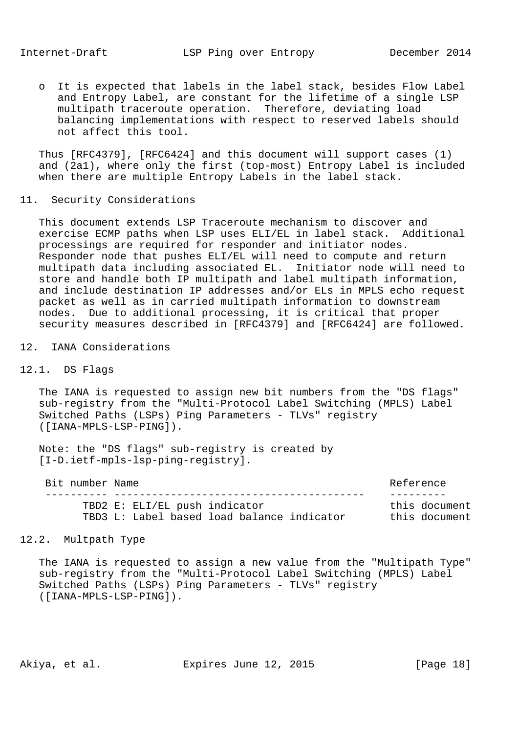o It is expected that labels in the label stack, besides Flow Label and Entropy Label, are constant for the lifetime of a single LSP multipath traceroute operation. Therefore, deviating load balancing implementations with respect to reserved labels should not affect this tool.

 Thus [RFC4379], [RFC6424] and this document will support cases (1) and (2a1), where only the first (top-most) Entropy Label is included when there are multiple Entropy Labels in the label stack.

11. Security Considerations

 This document extends LSP Traceroute mechanism to discover and exercise ECMP paths when LSP uses ELI/EL in label stack. Additional processings are required for responder and initiator nodes. Responder node that pushes ELI/EL will need to compute and return multipath data including associated EL. Initiator node will need to store and handle both IP multipath and label multipath information, and include destination IP addresses and/or ELs in MPLS echo request packet as well as in carried multipath information to downstream nodes. Due to additional processing, it is critical that proper security measures described in [RFC4379] and [RFC6424] are followed.

12. IANA Considerations

# 12.1. DS Flags

 The IANA is requested to assign new bit numbers from the "DS flags" sub-registry from the "Multi-Protocol Label Switching (MPLS) Label Switched Paths (LSPs) Ping Parameters - TLVs" registry ([IANA-MPLS-LSP-PING]).

 Note: the "DS flags" sub-registry is created by [I-D.ietf-mpls-lsp-ping-registry].

| Bit number Name |                                            | Reference     |
|-----------------|--------------------------------------------|---------------|
|                 |                                            |               |
|                 | TBD2 E: ELI/EL push indicator              | this document |
|                 | TBD3 L: Label based load balance indicator | this document |

# 12.2. Multpath Type

 The IANA is requested to assign a new value from the "Multipath Type" sub-registry from the "Multi-Protocol Label Switching (MPLS) Label Switched Paths (LSPs) Ping Parameters - TLVs" registry ([IANA-MPLS-LSP-PING]).

Akiya, et al. Expires June 12, 2015 [Page 18]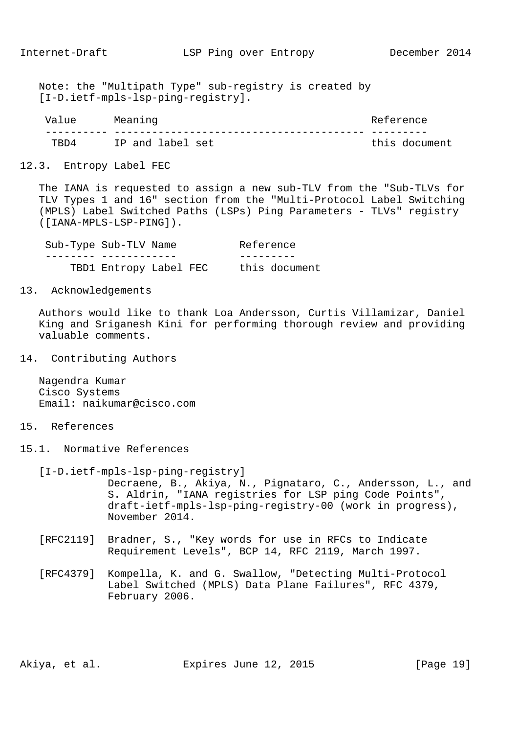Note: the "Multipath Type" sub-registry is created by [I-D.ietf-mpls-lsp-ping-registry].

| Value | Meaning          | Reference     |
|-------|------------------|---------------|
|       |                  |               |
| TRD4  | IP and label set | this document |

#### 12.3. Entropy Label FEC

 The IANA is requested to assign a new sub-TLV from the "Sub-TLVs for TLV Types 1 and 16" section from the "Multi-Protocol Label Switching (MPLS) Label Switched Paths (LSPs) Ping Parameters - TLVs" registry ([IANA-MPLS-LSP-PING]).

| Sub-Type Sub-TLV Name  | Reference     |
|------------------------|---------------|
|                        |               |
| TBD1 Entropy Label FEC | this document |

13. Acknowledgements

 Authors would like to thank Loa Andersson, Curtis Villamizar, Daniel King and Sriganesh Kini for performing thorough review and providing valuable comments.

14. Contributing Authors

 Nagendra Kumar Cisco Systems Email: naikumar@cisco.com

## 15. References

- 15.1. Normative References
	- [I-D.ietf-mpls-lsp-ping-registry] Decraene, B., Akiya, N., Pignataro, C., Andersson, L., and S. Aldrin, "IANA registries for LSP ping Code Points", draft-ietf-mpls-lsp-ping-registry-00 (work in progress), November 2014.
	- [RFC2119] Bradner, S., "Key words for use in RFCs to Indicate Requirement Levels", BCP 14, RFC 2119, March 1997.
	- [RFC4379] Kompella, K. and G. Swallow, "Detecting Multi-Protocol Label Switched (MPLS) Data Plane Failures", RFC 4379, February 2006.

Akiya, et al. Expires June 12, 2015 [Page 19]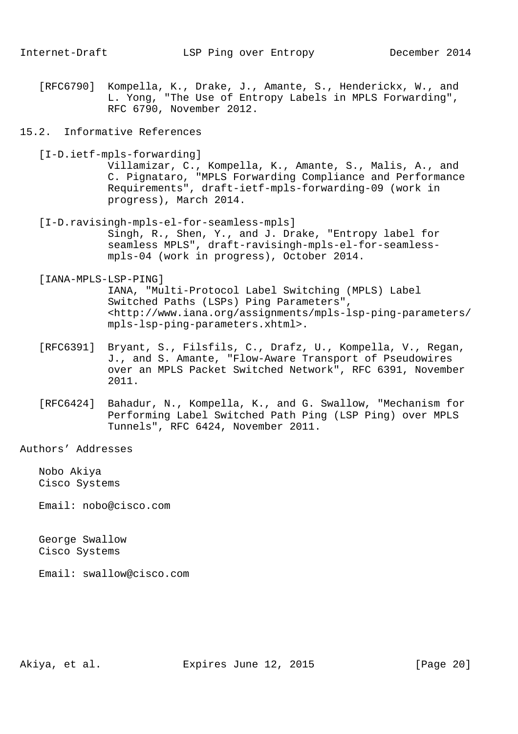[RFC6790] Kompella, K., Drake, J., Amante, S., Henderickx, W., and L. Yong, "The Use of Entropy Labels in MPLS Forwarding", RFC 6790, November 2012.

## 15.2. Informative References

[I-D.ietf-mpls-forwarding]

 Villamizar, C., Kompella, K., Amante, S., Malis, A., and C. Pignataro, "MPLS Forwarding Compliance and Performance Requirements", draft-ietf-mpls-forwarding-09 (work in progress), March 2014.

 [I-D.ravisingh-mpls-el-for-seamless-mpls] Singh, R., Shen, Y., and J. Drake, "Entropy label for seamless MPLS", draft-ravisingh-mpls-el-for-seamless mpls-04 (work in progress), October 2014.

#### [IANA-MPLS-LSP-PING]

 IANA, "Multi-Protocol Label Switching (MPLS) Label Switched Paths (LSPs) Ping Parameters", <http://www.iana.org/assignments/mpls-lsp-ping-parameters/ mpls-lsp-ping-parameters.xhtml>.

- [RFC6391] Bryant, S., Filsfils, C., Drafz, U., Kompella, V., Regan, J., and S. Amante, "Flow-Aware Transport of Pseudowires over an MPLS Packet Switched Network", RFC 6391, November 2011.
- [RFC6424] Bahadur, N., Kompella, K., and G. Swallow, "Mechanism for Performing Label Switched Path Ping (LSP Ping) over MPLS Tunnels", RFC 6424, November 2011.

Authors' Addresses

 Nobo Akiya Cisco Systems

Email: nobo@cisco.com

 George Swallow Cisco Systems

Email: swallow@cisco.com

Akiya, et al. Expires June 12, 2015 [Page 20]